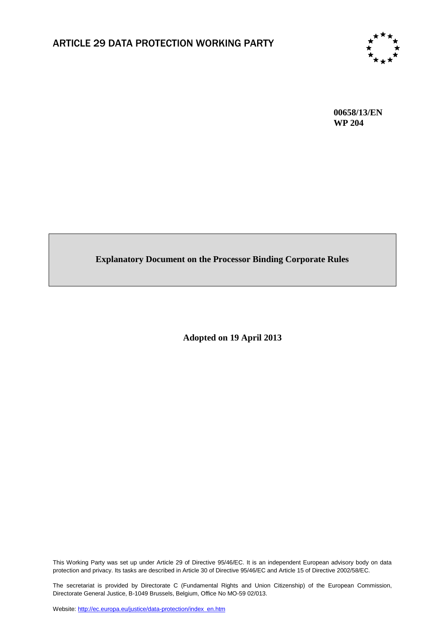

**00658/13/EN WP 204**

# **Explanatory Document on the Processor Binding Corporate Rules**

**Adopted on 19 April 2013**

This Working Party was set up under Article 29 of Directive 95/46/EC. It is an independent European advisory body on data protection and privacy. Its tasks are described in Article 30 of Directive 95/46/EC and Article 15 of Directive 2002/58/EC.

The secretariat is provided by Directorate C (Fundamental Rights and Union Citizenship) of the European Commission, Directorate General Justice, B-1049 Brussels, Belgium, Office No MO-59 02/013.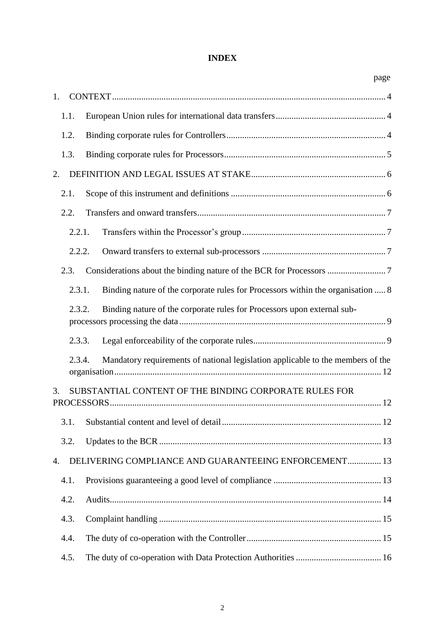# **INDEX**

|        | page                                                                            |
|--------|---------------------------------------------------------------------------------|
| 1.     |                                                                                 |
| 1.1.   |                                                                                 |
| 1.2.   |                                                                                 |
| 1.3.   |                                                                                 |
| 2.     |                                                                                 |
| 2.1.   |                                                                                 |
| 2.2.   |                                                                                 |
| 2.2.1. |                                                                                 |
| 2.2.2. |                                                                                 |
| 2.3.   |                                                                                 |
| 2.3.1. | Binding nature of the corporate rules for Processors within the organisation  8 |
| 2.3.2. | Binding nature of the corporate rules for Processors upon external sub-         |
| 2.3.3. |                                                                                 |
| 2.3.4. | Mandatory requirements of national legislation applicable to the members of the |
| 3.     | SUBSTANTIAL CONTENT OF THE BINDING CORPORATE RULES FOR                          |
|        |                                                                                 |
| 3.1.   |                                                                                 |
| 3.2.   |                                                                                 |
| 4.     | DELIVERING COMPLIANCE AND GUARANTEEING ENFORCEMENT 13                           |
| 4.1.   |                                                                                 |
| 4.2.   |                                                                                 |
| 4.3.   |                                                                                 |
| 4.4.   |                                                                                 |
| 4.5.   |                                                                                 |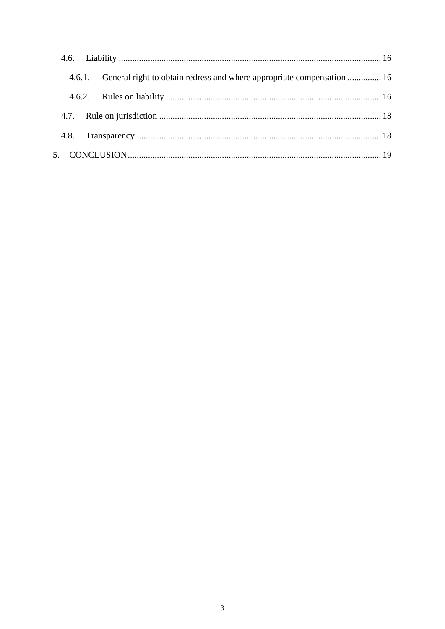| 4.6.1. General right to obtain redress and where appropriate compensation  16 |  |
|-------------------------------------------------------------------------------|--|
|                                                                               |  |
|                                                                               |  |
|                                                                               |  |
|                                                                               |  |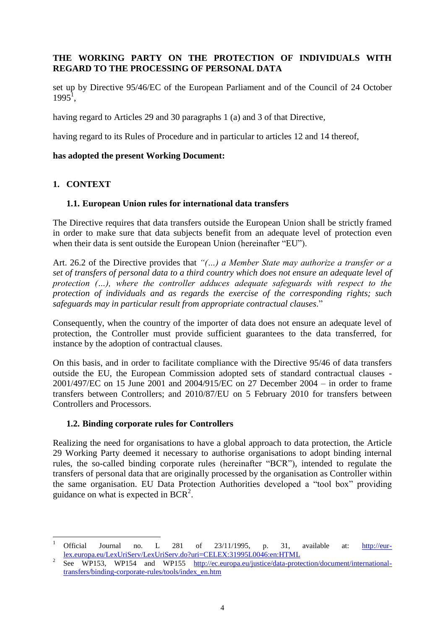# <span id="page-3-0"></span>**THE WORKING PARTY ON THE PROTECTION OF INDIVIDUALS WITH REGARD TO THE PROCESSING OF PERSONAL DATA**

set up by Directive 95/46/EC of the European Parliament and of the Council of 24 October  $1995^1$ ,

having regard to Articles 29 and 30 paragraphs 1 (a) and 3 of that Directive,

having regard to its Rules of Procedure and in particular to articles 12 and 14 thereof,

#### **has adopted the present Working Document:**

### **1. CONTEXT**

**.** 

#### <span id="page-3-1"></span>**1.1. European Union rules for international data transfers**

The Directive requires that data transfers outside the European Union shall be strictly framed in order to make sure that data subjects benefit from an adequate level of protection even when their data is sent outside the European Union (hereinafter "EU").

Art. 26.2 of the Directive provides that *"(…) a Member State may authorize a transfer or a set of transfers of personal data to a third country which does not ensure an adequate level of protection (…), where the controller adduces adequate safeguards with respect to the protection of individuals and as regards the exercise of the corresponding rights; such safeguards may in particular result from appropriate contractual clauses*."

Consequently, when the country of the importer of data does not ensure an adequate level of protection, the Controller must provide sufficient guarantees to the data transferred, for instance by the adoption of contractual clauses.

On this basis, and in order to facilitate compliance with the Directive 95/46 of data transfers outside the EU, the European Commission adopted sets of standard contractual clauses - 2001/497/EC on 15 June 2001 and 2004/915/EC on 27 December 2004 – in order to frame transfers between Controllers; and 2010/87/EU on 5 February 2010 for transfers between Controllers and Processors.

#### <span id="page-3-2"></span>**1.2. Binding corporate rules for Controllers**

Realizing the need for organisations to have a global approach to data protection, the Article 29 Working Party deemed it necessary to authorise organisations to adopt binding internal rules, the so-called binding corporate rules (hereinafter "BCR"), intended to regulate the transfers of personal data that are originally processed by the organisation as Controller within the same organisation. EU Data Protection Authorities developed a "tool box" providing guidance on what is expected in BCR<sup>2</sup>.

<sup>&</sup>lt;sup>1</sup> Official Journal no. L 281 of 23/11/1995, p. 31, available at:  $\frac{http://eur$ [lex.europa.eu/LexUriServ/LexUriServ.do?uri=CELEX:31995L0046:en:HTML](http://eur-lex.europa.eu/LexUriServ/LexUriServ.do?uri=CELEX:31995L0046:en:HTML)

<sup>2</sup> See WP153, WP154 and WP155 [http://ec.europa.eu/justice/data-protection/document/international](http://ec.europa.eu/justice/data-protection/document/international-transfers/binding-corporate-rules/tools/index_en.htm)[transfers/binding-corporate-rules/tools/index\\_en.htm](http://ec.europa.eu/justice/data-protection/document/international-transfers/binding-corporate-rules/tools/index_en.htm)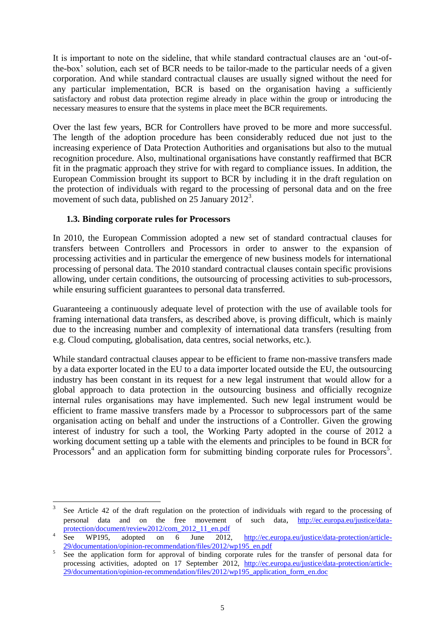It is important to note on the sideline, that while standard contractual clauses are an 'out-ofthe-box' solution, each set of BCR needs to be tailor-made to the particular needs of a given corporation. And while standard contractual clauses are usually signed without the need for any particular implementation, BCR is based on the organisation having a sufficiently satisfactory and robust data protection regime already in place within the group or introducing the necessary measures to ensure that the systems in place meet the BCR requirements.

Over the last few years, BCR for Controllers have proved to be more and more successful. The length of the adoption procedure has been considerably reduced due not just to the increasing experience of Data Protection Authorities and organisations but also to the mutual recognition procedure. Also, multinational organisations have constantly reaffirmed that BCR fit in the pragmatic approach they strive for with regard to compliance issues. In addition, the European Commission brought its support to BCR by including it in the draft regulation on the protection of individuals with regard to the processing of personal data and on the free movement of such data, published on  $25$  January  $2012^3$ .

### <span id="page-4-0"></span>**1.3. Binding corporate rules for Processors**

**.** 

In 2010, the European Commission adopted a new set of standard contractual clauses for transfers between Controllers and Processors in order to answer to the expansion of processing activities and in particular the emergence of new business models for international processing of personal data. The 2010 standard contractual clauses contain specific provisions allowing, under certain conditions, the outsourcing of processing activities to sub-processors, while ensuring sufficient guarantees to personal data transferred.

Guaranteeing a continuously adequate level of protection with the use of available tools for framing international data transfers, as described above, is proving difficult, which is mainly due to the increasing number and complexity of international data transfers (resulting from e.g. Cloud computing, globalisation, data centres, social networks, etc.).

While standard contractual clauses appear to be efficient to frame non-massive transfers made by a data exporter located in the EU to a data importer located outside the EU, the outsourcing industry has been constant in its request for a new legal instrument that would allow for a global approach to data protection in the outsourcing business and officially recognize internal rules organisations may have implemented. Such new legal instrument would be efficient to frame massive transfers made by a Processor to subprocessors part of the same organisation acting on behalf and under the instructions of a Controller. Given the growing interest of industry for such a tool, the Working Party adopted in the course of 2012 a working document setting up a table with the elements and principles to be found in BCR for Processors<sup>4</sup> and an application form for submitting binding corporate rules for Processors<sup>5</sup>.

<sup>3</sup> See Article 42 of the draft regulation on the protection of individuals with regard to the processing of personal data and on the free movement of such data, [http://ec.europa.eu/justice/data](http://ec.europa.eu/justice/data-protection/document/review2012/com_2012_11_en.pdf)[protection/document/review2012/com\\_2012\\_11\\_en.pdf](http://ec.europa.eu/justice/data-protection/document/review2012/com_2012_11_en.pdf)

<sup>4</sup> See WP195, adopted on 6 June 2012, [http://ec.europa.eu/justice/data-protection/article-](http://ec.europa.eu/justice/data-protection/article-29/documentation/opinion-recommendation/files/2012/wp195_en.pdf)[29/documentation/opinion-recommendation/files/2012/wp195\\_en.pdf](http://ec.europa.eu/justice/data-protection/article-29/documentation/opinion-recommendation/files/2012/wp195_en.pdf)

<sup>5</sup> See the application form for approval of binding corporate rules for the transfer of personal data for processing activities, adopted on 17 September 2012, [http://ec.europa.eu/justice/data-protection/article-](http://ec.europa.eu/justice/data-protection/article-29/documentation/opinion-recommendation/files/2012/wp195_application_form_en.doc)[29/documentation/opinion-recommendation/files/2012/wp195\\_application\\_form\\_en.doc](http://ec.europa.eu/justice/data-protection/article-29/documentation/opinion-recommendation/files/2012/wp195_application_form_en.doc)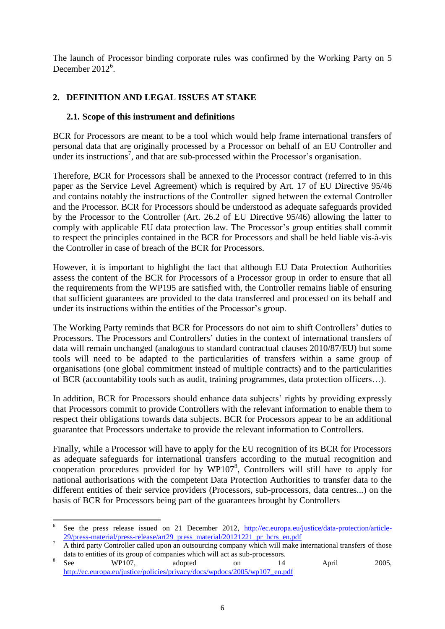The launch of Processor binding corporate rules was confirmed by the Working Party on 5 December  $2012^6$ .

# <span id="page-5-0"></span>**2. DEFINITION AND LEGAL ISSUES AT STAKE**

#### <span id="page-5-1"></span>**2.1. Scope of this instrument and definitions**

BCR for Processors are meant to be a tool which would help frame international transfers of personal data that are originally processed by a Processor on behalf of an EU Controller and under its instructions<sup>7</sup>, and that are sub-processed within the Processor's organisation.

Therefore, BCR for Processors shall be annexed to the Processor contract (referred to in this paper as the Service Level Agreement) which is required by Art. 17 of EU Directive 95/46 and contains notably the instructions of the Controller signed between the external Controller and the Processor. BCR for Processors should be understood as adequate safeguards provided by the Processor to the Controller (Art. 26.2 of EU Directive 95/46) allowing the latter to comply with applicable EU data protection law. The Processor's group entities shall commit to respect the principles contained in the BCR for Processors and shall be held liable vis-à-vis the Controller in case of breach of the BCR for Processors.

However, it is important to highlight the fact that although EU Data Protection Authorities assess the content of the BCR for Processors of a Processor group in order to ensure that all the requirements from the WP195 are satisfied with, the Controller remains liable of ensuring that sufficient guarantees are provided to the data transferred and processed on its behalf and under its instructions within the entities of the Processor's group.

The Working Party reminds that BCR for Processors do not aim to shift Controllers' duties to Processors. The Processors and Controllers' duties in the context of international transfers of data will remain unchanged (analogous to standard contractual clauses 2010/87/EU) but some tools will need to be adapted to the particularities of transfers within a same group of organisations (one global commitment instead of multiple contracts) and to the particularities of BCR (accountability tools such as audit, training programmes, data protection officers…).

In addition, BCR for Processors should enhance data subjects' rights by providing expressly that Processors commit to provide Controllers with the relevant information to enable them to respect their obligations towards data subjects. BCR for Processors appear to be an additional guarantee that Processors undertake to provide the relevant information to Controllers.

Finally, while a Processor will have to apply for the EU recognition of its BCR for Processors as adequate safeguards for international transfers according to the mutual recognition and cooperation procedures provided for by  $WP107^8$ , Controllers will still have to apply for national authorisations with the competent Data Protection Authorities to transfer data to the different entities of their service providers (Processors, sub-processors, data centres...) on the basis of BCR for Processors being part of the guarantees brought by Controllers

**<sup>.</sup>** 6 See the press release issued on 21 December 2012, [http://ec.europa.eu/justice/data-protection/article-](http://ec.europa.eu/justice/data-protection/article-29/press-material/press-release/art29_press_material/20121221_pr_bcrs_en.pdf)[29/press-material/press-release/art29\\_press\\_material/20121221\\_pr\\_bcrs\\_en.pdf](http://ec.europa.eu/justice/data-protection/article-29/press-material/press-release/art29_press_material/20121221_pr_bcrs_en.pdf)

<sup>7</sup> A third party Controller called upon an outsourcing company which will make international transfers of those data to entities of its group of companies which will act as sub-processors.

<sup>8</sup> See WP107, adopted on 14 April 2005, [http://ec.europa.eu/justice/policies/privacy/docs/wpdocs/2005/wp107\\_en.pdf](http://ec.europa.eu/justice/policies/privacy/docs/wpdocs/2005/wp107_en.pdf)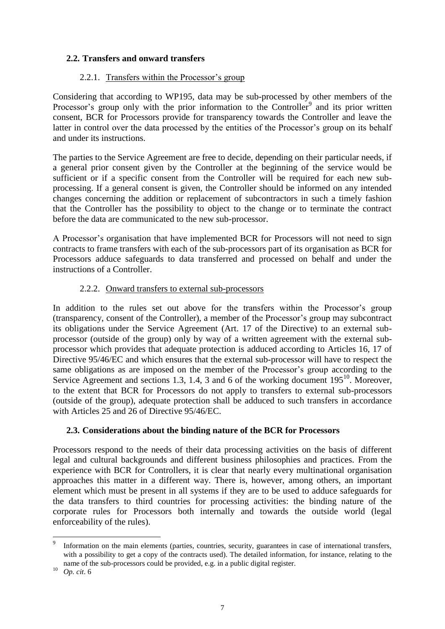### <span id="page-6-0"></span>**2.2. Transfers and onward transfers**

#### 2.2.1. Transfers within the Processor's group

<span id="page-6-1"></span>Considering that according to WP195, data may be sub-processed by other members of the Processor's group only with the prior information to the Controller<sup>9</sup> and its prior written consent, BCR for Processors provide for transparency towards the Controller and leave the latter in control over the data processed by the entities of the Processor's group on its behalf and under its instructions.

The parties to the Service Agreement are free to decide, depending on their particular needs, if a general prior consent given by the Controller at the beginning of the service would be sufficient or if a specific consent from the Controller will be required for each new subprocessing. If a general consent is given, the Controller should be informed on any intended changes concerning the addition or replacement of subcontractors in such a timely fashion that the Controller has the possibility to object to the change or to terminate the contract before the data are communicated to the new sub-processor.

A Processor's organisation that have implemented BCR for Processors will not need to sign contracts to frame transfers with each of the sub-processors part of its organisation as BCR for Processors adduce safeguards to data transferred and processed on behalf and under the instructions of a Controller.

#### 2.2.2. Onward transfers to external sub-processors

<span id="page-6-2"></span>In addition to the rules set out above for the transfers within the Processor's group (transparency, consent of the Controller), a member of the Processor's group may subcontract its obligations under the Service Agreement (Art. 17 of the Directive) to an external subprocessor (outside of the group) only by way of a written agreement with the external subprocessor which provides that adequate protection is adduced according to Articles 16, 17 of Directive 95/46/EC and which ensures that the external sub-processor will have to respect the same obligations as are imposed on the member of the Processor's group according to the Service Agreement and sections 1.3, 1.4, 3 and 6 of the working document 195<sup>10</sup>. Moreover, to the extent that BCR for Processors do not apply to transfers to external sub-processors (outside of the group), adequate protection shall be adduced to such transfers in accordance with Articles 25 and 26 of Directive 95/46/EC.

### <span id="page-6-3"></span>**2.3. Considerations about the binding nature of the BCR for Processors**

Processors respond to the needs of their data processing activities on the basis of different legal and cultural backgrounds and different business philosophies and practices. From the experience with BCR for Controllers, it is clear that nearly every multinational organisation approaches this matter in a different way. There is, however, among others, an important element which must be present in all systems if they are to be used to adduce safeguards for the data transfers to third countries for processing activities: the binding nature of the corporate rules for Processors both internally and towards the outside world (legal enforceability of the rules).

**.** 

<sup>9</sup> Information on the main elements (parties, countries, security, guarantees in case of international transfers, with a possibility to get a copy of the contracts used). The detailed information, for instance, relating to the name of the sub-processors could be provided, e.g. in a public digital register.

<sup>10</sup> *Op. cit*. 6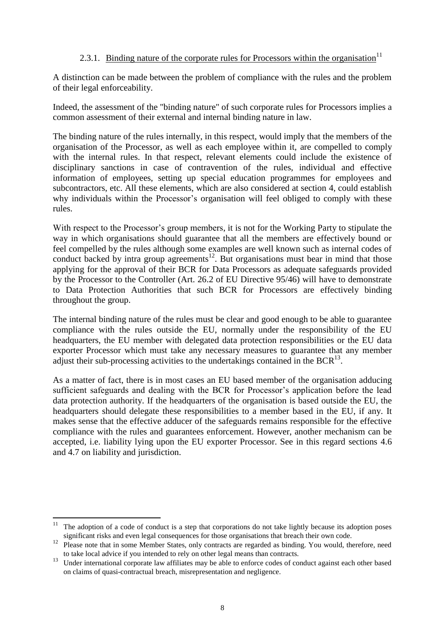# 2.3.1. Binding nature of the corporate rules for Processors within the organisation<sup>11</sup>

<span id="page-7-0"></span>A distinction can be made between the problem of compliance with the rules and the problem of their legal enforceability.

Indeed, the assessment of the "binding nature" of such corporate rules for Processors implies a common assessment of their external and internal binding nature in law.

The binding nature of the rules internally, in this respect, would imply that the members of the organisation of the Processor, as well as each employee within it, are compelled to comply with the internal rules. In that respect, relevant elements could include the existence of disciplinary sanctions in case of contravention of the rules, individual and effective information of employees, setting up special education programmes for employees and subcontractors, etc. All these elements, which are also considered at section 4, could establish why individuals within the Processor's organisation will feel obliged to comply with these rules.

With respect to the Processor's group members, it is not for the Working Party to stipulate the way in which organisations should guarantee that all the members are effectively bound or feel compelled by the rules although some examples are well known such as internal codes of conduct backed by intra group agreements<sup>12</sup>. But organisations must bear in mind that those applying for the approval of their BCR for Data Processors as adequate safeguards provided by the Processor to the Controller (Art. 26.2 of EU Directive 95/46) will have to demonstrate to Data Protection Authorities that such BCR for Processors are effectively binding throughout the group.

The internal binding nature of the rules must be clear and good enough to be able to guarantee compliance with the rules outside the EU, normally under the responsibility of the EU headquarters, the EU member with delegated data protection responsibilities or the EU data exporter Processor which must take any necessary measures to guarantee that any member adjust their sub-processing activities to the undertakings contained in the BCR $^{13}$ .

As a matter of fact, there is in most cases an EU based member of the organisation adducing sufficient safeguards and dealing with the BCR for Processor's application before the lead data protection authority. If the headquarters of the organisation is based outside the EU, the headquarters should delegate these responsibilities to a member based in the EU, if any. It makes sense that the effective adducer of the safeguards remains responsible for the effective compliance with the rules and guarantees enforcement. However, another mechanism can be accepted, i.e. liability lying upon the EU exporter Processor. See in this regard sections 4.6 and 4.7 on liability and jurisdiction.

<span id="page-7-1"></span>1

The adoption of a code of conduct is a step that corporations do not take lightly because its adoption poses significant risks and even legal consequences for those organisations that breach their own code.

<sup>&</sup>lt;sup>12</sup> Please note that in some Member States, only contracts are regarded as binding. You would, therefore, need to take local advice if you intended to rely on other legal means than contracts.

<sup>&</sup>lt;sup>13</sup> Under international corporate law affiliates may be able to enforce codes of conduct against each other based on claims of quasi-contractual breach, misrepresentation and negligence.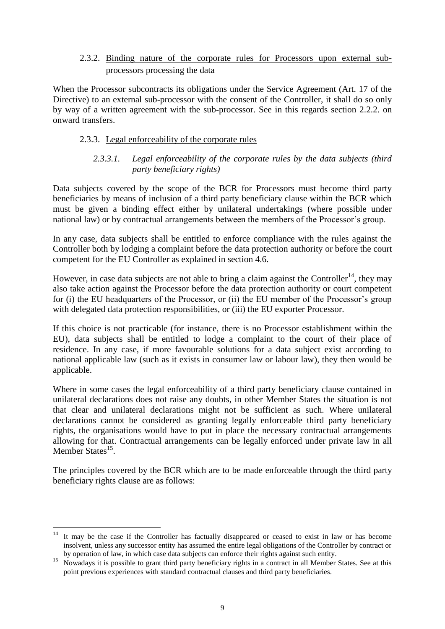### 2.3.2. Binding nature of the corporate rules for Processors upon external subprocessors processing the data

When the Processor subcontracts its obligations under the Service Agreement (Art. 17 of the Directive) to an external sub-processor with the consent of the Controller, it shall do so only by way of a written agreement with the sub-processor. See in this regards section 2.2.2. on onward transfers.

### <span id="page-8-0"></span>2.3.3. Legal enforceability of the corporate rules

#### *2.3.3.1. Legal enforceability of the corporate rules by the data subjects (third party beneficiary rights)*

Data subjects covered by the scope of the BCR for Processors must become third party beneficiaries by means of inclusion of a third party beneficiary clause within the BCR which must be given a binding effect either by unilateral undertakings (where possible under national law) or by contractual arrangements between the members of the Processor's group.

In any case, data subjects shall be entitled to enforce compliance with the rules against the Controller both by lodging a complaint before the data protection authority or before the court competent for the EU Controller as explained in section 4.6.

However, in case data subjects are not able to bring a claim against the Controller<sup>14</sup>, they may also take action against the Processor before the data protection authority or court competent for (i) the EU headquarters of the Processor, or (ii) the EU member of the Processor's group with delegated data protection responsibilities, or (iii) the EU exporter Processor.

If this choice is not practicable (for instance, there is no Processor establishment within the EU), data subjects shall be entitled to lodge a complaint to the court of their place of residence. In any case, if more favourable solutions for a data subject exist according to national applicable law (such as it exists in consumer law or labour law), they then would be applicable.

Where in some cases the legal enforceability of a third party beneficiary clause contained in unilateral declarations does not raise any doubts, in other Member States the situation is not that clear and unilateral declarations might not be sufficient as such. Where unilateral declarations cannot be considered as granting legally enforceable third party beneficiary rights, the organisations would have to put in place the necessary contractual arrangements allowing for that. Contractual arrangements can be legally enforced under private law in all Member States<sup>15</sup>.

The principles covered by the BCR which are to be made enforceable through the third party beneficiary rights clause are as follows:

**.** 

It may be the case if the Controller has factually disappeared or ceased to exist in law or has become insolvent, unless any successor entity has assumed the entire legal obligations of the Controller by contract or by operation of law, in which case data subjects can enforce their rights against such entity.

<sup>&</sup>lt;sup>15</sup> Nowadays it is possible to grant third party beneficiary rights in a contract in all Member States. See at this point previous experiences with standard contractual clauses and third party beneficiaries.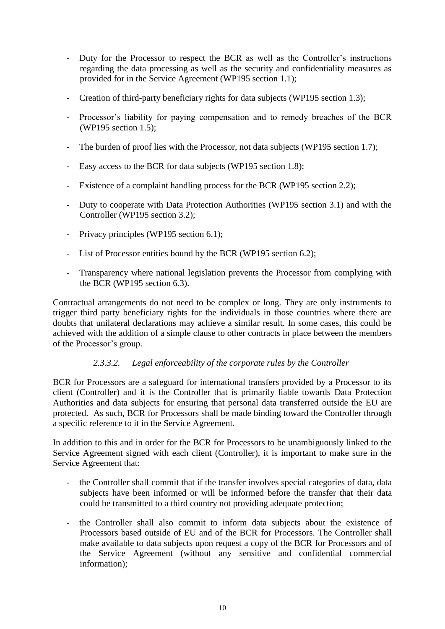- Duty for the Processor to respect the BCR as well as the Controller's instructions regarding the data processing as well as the security and confidentiality measures as provided for in the Service Agreement (WP195 section 1.1);
- Creation of third-party beneficiary rights for data subjects (WP195 section 1.3);
- Processor's liability for paying compensation and to remedy breaches of the BCR (WP195 section 1.5);
- The burden of proof lies with the Processor, not data subjects (WP195 section 1.7);
- Easy access to the BCR for data subjects (WP195 section 1.8);
- Existence of a complaint handling process for the BCR (WP195 section 2.2);
- Duty to cooperate with Data Protection Authorities (WP195 section 3.1) and with the Controller (WP195 section 3.2);
- Privacy principles (WP195 section 6.1);
- List of Processor entities bound by the BCR (WP195 section 6.2);
- Transparency where national legislation prevents the Processor from complying with the BCR (WP195 section 6.3).

Contractual arrangements do not need to be complex or long. They are only instruments to trigger third party beneficiary rights for the individuals in those countries where there are doubts that unilateral declarations may achieve a similar result. In some cases, this could be achieved with the addition of a simple clause to other contracts in place between the members of the Processor's group.

### *2.3.3.2. Legal enforceability of the corporate rules by the Controller*

BCR for Processors are a safeguard for international transfers provided by a Processor to its client (Controller) and it is the Controller that is primarily liable towards Data Protection Authorities and data subjects for ensuring that personal data transferred outside the EU are protected. As such, BCR for Processors shall be made binding toward the Controller through a specific reference to it in the Service Agreement.

In addition to this and in order for the BCR for Processors to be unambiguously linked to the Service Agreement signed with each client (Controller), it is important to make sure in the Service Agreement that:

- the Controller shall commit that if the transfer involves special categories of data, data subjects have been informed or will be informed before the transfer that their data could be transmitted to a third country not providing adequate protection;
- the Controller shall also commit to inform data subjects about the existence of Processors based outside of EU and of the BCR for Processors. The Controller shall make available to data subjects upon request a copy of the BCR for Processors and of the Service Agreement (without any sensitive and confidential commercial information);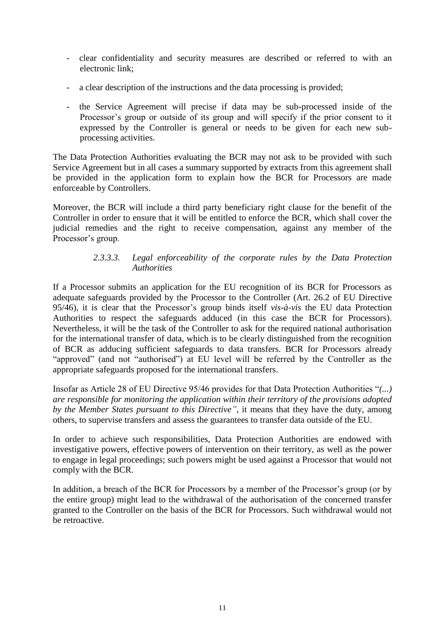- clear confidentiality and security measures are described or referred to with an electronic link;
- a clear description of the instructions and the data processing is provided;
- the Service Agreement will precise if data may be sub-processed inside of the Processor's group or outside of its group and will specify if the prior consent to it expressed by the Controller is general or needs to be given for each new subprocessing activities.

The Data Protection Authorities evaluating the BCR may not ask to be provided with such Service Agreement but in all cases a summary supported by extracts from this agreement shall be provided in the application form to explain how the BCR for Processors are made enforceable by Controllers.

Moreover, the BCR will include a third party beneficiary right clause for the benefit of the Controller in order to ensure that it will be entitled to enforce the BCR, which shall cover the judicial remedies and the right to receive compensation, against any member of the Processor's group.

### *2.3.3.3. Legal enforceability of the corporate rules by the Data Protection Authorities*

If a Processor submits an application for the EU recognition of its BCR for Processors as adequate safeguards provided by the Processor to the Controller (Art. 26.2 of EU Directive 95/46), it is clear that the Processor's group binds itself *vis-à-vis* the EU data Protection Authorities to respect the safeguards adduced (in this case the BCR for Processors). Nevertheless, it will be the task of the Controller to ask for the required national authorisation for the international transfer of data, which is to be clearly distinguished from the recognition of BCR as adducing sufficient safeguards to data transfers. BCR for Processors already "approved" (and not "authorised") at EU level will be referred by the Controller as the appropriate safeguards proposed for the international transfers.

Insofar as Article 28 of EU Directive 95/46 provides for that Data Protection Authorities "*(...) are responsible for monitoring the application within their territory of the provisions adopted by the Member States pursuant to this Directive"*, it means that they have the duty, among others, to supervise transfers and assess the guarantees to transfer data outside of the EU.

In order to achieve such responsibilities, Data Protection Authorities are endowed with investigative powers, effective powers of intervention on their territory, as well as the power to engage in legal proceedings; such powers might be used against a Processor that would not comply with the BCR.

<span id="page-10-0"></span>In addition, a breach of the BCR for Processors by a member of the Processor's group (or by the entire group) might lead to the withdrawal of the authorisation of the concerned transfer granted to the Controller on the basis of the BCR for Processors. Such withdrawal would not be retroactive.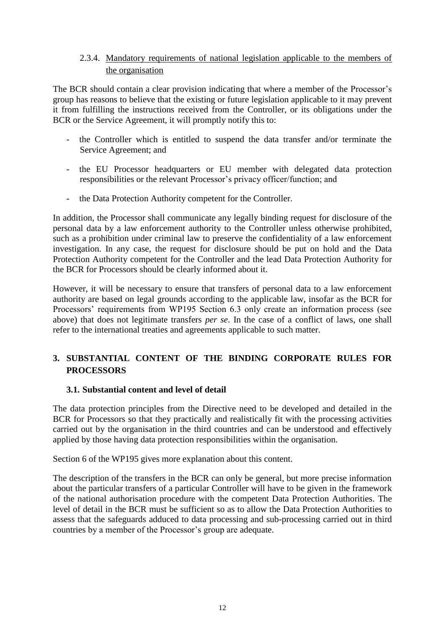# 2.3.4. Mandatory requirements of national legislation applicable to the members of the organisation

The BCR should contain a clear provision indicating that where a member of the Processor's group has reasons to believe that the existing or future legislation applicable to it may prevent it from fulfilling the instructions received from the Controller, or its obligations under the BCR or the Service Agreement, it will promptly notify this to:

- the Controller which is entitled to suspend the data transfer and/or terminate the Service Agreement; and
- the EU Processor headquarters or EU member with delegated data protection responsibilities or the relevant Processor's privacy officer/function; and
- the Data Protection Authority competent for the Controller.

In addition, the Processor shall communicate any legally binding request for disclosure of the personal data by a law enforcement authority to the Controller unless otherwise prohibited, such as a prohibition under criminal law to preserve the confidentiality of a law enforcement investigation. In any case, the request for disclosure should be put on hold and the Data Protection Authority competent for the Controller and the lead Data Protection Authority for the BCR for Processors should be clearly informed about it.

However, it will be necessary to ensure that transfers of personal data to a law enforcement authority are based on legal grounds according to the applicable law, insofar as the BCR for Processors' requirements from WP195 Section 6.3 only create an information process (see above) that does not legitimate transfers *per se*. In the case of a conflict of laws, one shall refer to the international treaties and agreements applicable to such matter.

# <span id="page-11-0"></span>**3. SUBSTANTIAL CONTENT OF THE BINDING CORPORATE RULES FOR PROCESSORS**

#### <span id="page-11-1"></span>**3.1. Substantial content and level of detail**

The data protection principles from the Directive need to be developed and detailed in the BCR for Processors so that they practically and realistically fit with the processing activities carried out by the organisation in the third countries and can be understood and effectively applied by those having data protection responsibilities within the organisation.

Section 6 of the WP195 gives more explanation about this content.

<span id="page-11-2"></span>The description of the transfers in the BCR can only be general, but more precise information about the particular transfers of a particular Controller will have to be given in the framework of the national authorisation procedure with the competent Data Protection Authorities. The level of detail in the BCR must be sufficient so as to allow the Data Protection Authorities to assess that the safeguards adduced to data processing and sub-processing carried out in third countries by a member of the Processor's group are adequate.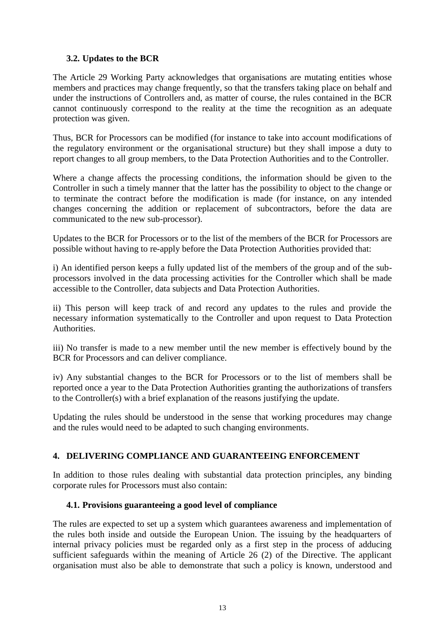### **3.2. Updates to the BCR**

The Article 29 Working Party acknowledges that organisations are mutating entities whose members and practices may change frequently, so that the transfers taking place on behalf and under the instructions of Controllers and, as matter of course, the rules contained in the BCR cannot continuously correspond to the reality at the time the recognition as an adequate protection was given.

Thus, BCR for Processors can be modified (for instance to take into account modifications of the regulatory environment or the organisational structure) but they shall impose a duty to report changes to all group members, to the Data Protection Authorities and to the Controller.

Where a change affects the processing conditions, the information should be given to the Controller in such a timely manner that the latter has the possibility to object to the change or to terminate the contract before the modification is made (for instance, on any intended changes concerning the addition or replacement of subcontractors, before the data are communicated to the new sub-processor).

Updates to the BCR for Processors or to the list of the members of the BCR for Processors are possible without having to re-apply before the Data Protection Authorities provided that:

i) An identified person keeps a fully updated list of the members of the group and of the subprocessors involved in the data processing activities for the Controller which shall be made accessible to the Controller, data subjects and Data Protection Authorities.

ii) This person will keep track of and record any updates to the rules and provide the necessary information systematically to the Controller and upon request to Data Protection Authorities.

iii) No transfer is made to a new member until the new member is effectively bound by the BCR for Processors and can deliver compliance.

iv) Any substantial changes to the BCR for Processors or to the list of members shall be reported once a year to the Data Protection Authorities granting the authorizations of transfers to the Controller(s) with a brief explanation of the reasons justifying the update.

Updating the rules should be understood in the sense that working procedures may change and the rules would need to be adapted to such changing environments.

### <span id="page-12-0"></span>**4. DELIVERING COMPLIANCE AND GUARANTEEING ENFORCEMENT**

In addition to those rules dealing with substantial data protection principles, any binding corporate rules for Processors must also contain:

### <span id="page-12-1"></span>**4.1. Provisions guaranteeing a good level of compliance**

The rules are expected to set up a system which guarantees awareness and implementation of the rules both inside and outside the European Union. The issuing by the headquarters of internal privacy policies must be regarded only as a first step in the process of adducing sufficient safeguards within the meaning of Article 26 (2) of the Directive. The applicant organisation must also be able to demonstrate that such a policy is known, understood and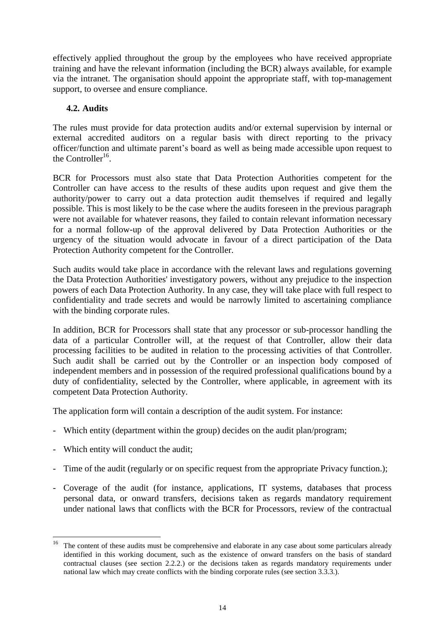effectively applied throughout the group by the employees who have received appropriate training and have the relevant information (including the BCR) always available, for example via the intranet. The organisation should appoint the appropriate staff, with top-management support, to oversee and ensure compliance.

### <span id="page-13-0"></span>**4.2. Audits**

The rules must provide for data protection audits and/or external supervision by internal or external accredited auditors on a regular basis with direct reporting to the privacy officer/function and ultimate parent's board as well as being made accessible upon request to the Controller<sup>16</sup>.

BCR for Processors must also state that Data Protection Authorities competent for the Controller can have access to the results of these audits upon request and give them the authority/power to carry out a data protection audit themselves if required and legally possible. This is most likely to be the case where the audits foreseen in the previous paragraph were not available for whatever reasons, they failed to contain relevant information necessary for a normal follow-up of the approval delivered by Data Protection Authorities or the urgency of the situation would advocate in favour of a direct participation of the Data Protection Authority competent for the Controller.

Such audits would take place in accordance with the relevant laws and regulations governing the Data Protection Authorities' investigatory powers, without any prejudice to the inspection powers of each Data Protection Authority. In any case, they will take place with full respect to confidentiality and trade secrets and would be narrowly limited to ascertaining compliance with the binding corporate rules.

In addition, BCR for Processors shall state that any processor or sub-processor handling the data of a particular Controller will, at the request of that Controller, allow their data processing facilities to be audited in relation to the processing activities of that Controller. Such audit shall be carried out by the Controller or an inspection body composed of independent members and in possession of the required professional qualifications bound by a duty of confidentiality, selected by the Controller, where applicable, in agreement with its competent Data Protection Authority.

The application form will contain a description of the audit system. For instance:

- Which entity (department within the group) decides on the audit plan/program;
- Which entity will conduct the audit;
- Time of the audit (regularly or on specific request from the appropriate Privacy function.);
- Coverage of the audit (for instance, applications, IT systems, databases that process personal data, or onward transfers, decisions taken as regards mandatory requirement under national laws that conflicts with the BCR for Processors, review of the contractual

<sup>16</sup> <sup>16</sup> The content of these audits must be comprehensive and elaborate in any case about some particulars already identified in this working document, such as the existence of onward transfers on the basis of standard contractual clauses (see section 2.2.2.) or the decisions taken as regards mandatory requirements under national law which may create conflicts with the binding corporate rules (see section 3.3.3.).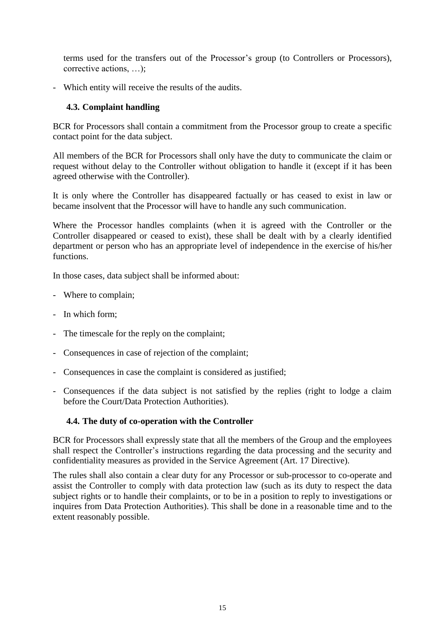terms used for the transfers out of the Processor's group (to Controllers or Processors), corrective actions, …);

- Which entity will receive the results of the audits.

### <span id="page-14-0"></span>**4.3. Complaint handling**

BCR for Processors shall contain a commitment from the Processor group to create a specific contact point for the data subject.

All members of the BCR for Processors shall only have the duty to communicate the claim or request without delay to the Controller without obligation to handle it (except if it has been agreed otherwise with the Controller).

It is only where the Controller has disappeared factually or has ceased to exist in law or became insolvent that the Processor will have to handle any such communication.

Where the Processor handles complaints (when it is agreed with the Controller or the Controller disappeared or ceased to exist), these shall be dealt with by a clearly identified department or person who has an appropriate level of independence in the exercise of his/her functions.

In those cases, data subject shall be informed about:

- Where to complain;
- In which form;
- The timescale for the reply on the complaint;
- Consequences in case of rejection of the complaint;
- Consequences in case the complaint is considered as justified;
- Consequences if the data subject is not satisfied by the replies (right to lodge a claim before the Court/Data Protection Authorities).

### <span id="page-14-1"></span>**4.4. The duty of co-operation with the Controller**

BCR for Processors shall expressly state that all the members of the Group and the employees shall respect the Controller's instructions regarding the data processing and the security and confidentiality measures as provided in the Service Agreement (Art. 17 Directive).

<span id="page-14-2"></span>The rules shall also contain a clear duty for any Processor or sub-processor to co-operate and assist the Controller to comply with data protection law (such as its duty to respect the data subject rights or to handle their complaints, or to be in a position to reply to investigations or inquires from Data Protection Authorities). This shall be done in a reasonable time and to the extent reasonably possible.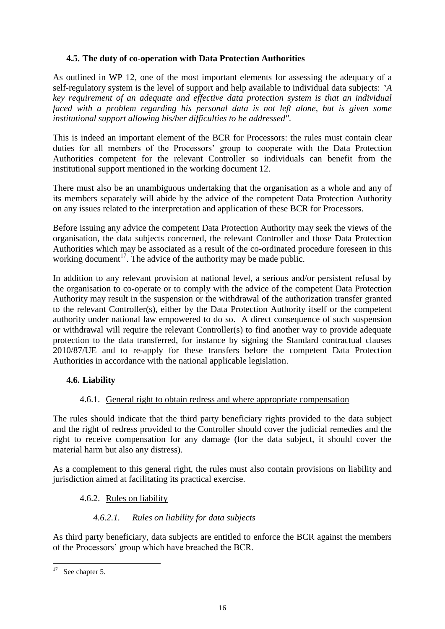## **4.5. The duty of co-operation with Data Protection Authorities**

As outlined in WP 12, one of the most important elements for assessing the adequacy of a self-regulatory system is the level of support and help available to individual data subjects: *"A key requirement of an adequate and effective data protection system is that an individual faced with a problem regarding his personal data is not left alone, but is given some institutional support allowing his/her difficulties to be addressed".*

This is indeed an important element of the BCR for Processors: the rules must contain clear duties for all members of the Processors' group to cooperate with the Data Protection Authorities competent for the relevant Controller so individuals can benefit from the institutional support mentioned in the working document 12.

There must also be an unambiguous undertaking that the organisation as a whole and any of its members separately will abide by the advice of the competent Data Protection Authority on any issues related to the interpretation and application of these BCR for Processors.

Before issuing any advice the competent Data Protection Authority may seek the views of the organisation, the data subjects concerned, the relevant Controller and those Data Protection Authorities which may be associated as a result of the co-ordinated procedure foreseen in this working document<sup>17</sup>. The advice of the authority may be made public.

In addition to any relevant provision at national level, a serious and/or persistent refusal by the organisation to co-operate or to comply with the advice of the competent Data Protection Authority may result in the suspension or the withdrawal of the authorization transfer granted to the relevant Controller(s), either by the Data Protection Authority itself or the competent authority under national law empowered to do so. A direct consequence of such suspension or withdrawal will require the relevant Controller(s) to find another way to provide adequate protection to the data transferred, for instance by signing the Standard contractual clauses 2010/87/UE and to re-apply for these transfers before the competent Data Protection Authorities in accordance with the national applicable legislation.

# <span id="page-15-0"></span>**4.6. Liability**

### 4.6.1. General right to obtain redress and where appropriate compensation

<span id="page-15-1"></span>The rules should indicate that the third party beneficiary rights provided to the data subject and the right of redress provided to the Controller should cover the judicial remedies and the right to receive compensation for any damage (for the data subject, it should cover the material harm but also any distress).

As a complement to this general right, the rules must also contain provisions on liability and jurisdiction aimed at facilitating its practical exercise.

### <span id="page-15-2"></span>4.6.2. Rules on liability

### *4.6.2.1. Rules on liability for data subjects*

As third party beneficiary, data subjects are entitled to enforce the BCR against the members of the Processors' group which have breached the BCR.

 $17<sup>17</sup>$ See chapter 5.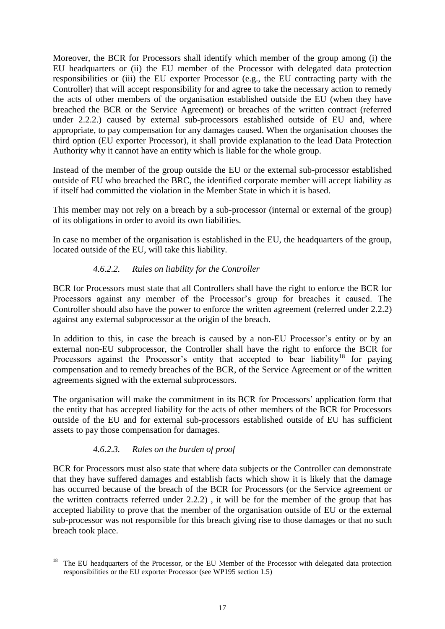Moreover, the BCR for Processors shall identify which member of the group among (i) the EU headquarters or (ii) the EU member of the Processor with delegated data protection responsibilities or (iii) the EU exporter Processor (e.g., the EU contracting party with the Controller) that will accept responsibility for and agree to take the necessary action to remedy the acts of other members of the organisation established outside the EU (when they have breached the BCR or the Service Agreement) or breaches of the written contract (referred under 2.2.2.) caused by external sub-processors established outside of EU and, where appropriate, to pay compensation for any damages caused. When the organisation chooses the third option (EU exporter Processor), it shall provide explanation to the lead Data Protection Authority why it cannot have an entity which is liable for the whole group.

Instead of the member of the group outside the EU or the external sub-processor established outside of EU who breached the BRC, the identified corporate member will accept liability as if itself had committed the violation in the Member State in which it is based.

This member may not rely on a breach by a sub-processor (internal or external of the group) of its obligations in order to avoid its own liabilities.

In case no member of the organisation is established in the EU, the headquarters of the group, located outside of the EU, will take this liability.

# *4.6.2.2. Rules on liability for the Controller*

BCR for Processors must state that all Controllers shall have the right to enforce the BCR for Processors against any member of the Processor's group for breaches it caused. The Controller should also have the power to enforce the written agreement (referred under 2.2.2) against any external subprocessor at the origin of the breach.

In addition to this, in case the breach is caused by a non-EU Processor's entity or by an external non-EU subprocessor, the Controller shall have the right to enforce the BCR for Processors against the Processor's entity that accepted to bear liability<sup>18</sup> for paying compensation and to remedy breaches of the BCR, of the Service Agreement or of the written agreements signed with the external subprocessors.

The organisation will make the commitment in its BCR for Processors' application form that the entity that has accepted liability for the acts of other members of the BCR for Processors outside of the EU and for external sub-processors established outside of EU has sufficient assets to pay those compensation for damages.

### *4.6.2.3. Rules on the burden of proof*

BCR for Processors must also state that where data subjects or the Controller can demonstrate that they have suffered damages and establish facts which show it is likely that the damage has occurred because of the breach of the BCR for Processors (or the Service agreement or the written contracts referred under 2.2.2) , it will be for the member of the group that has accepted liability to prove that the member of the organisation outside of EU or the external sub-processor was not responsible for this breach giving rise to those damages or that no such breach took place.

 $18\,$ <sup>18</sup> The EU headquarters of the Processor, or the EU Member of the Processor with delegated data protection responsibilities or the EU exporter Processor (see WP195 section 1.5)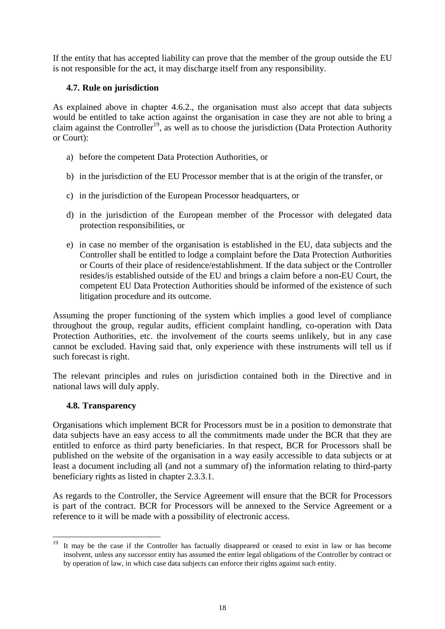If the entity that has accepted liability can prove that the member of the group outside the EU is not responsible for the act, it may discharge itself from any responsibility.

# <span id="page-17-0"></span>**4.7. Rule on jurisdiction**

As explained above in chapter 4.6.2., the organisation must also accept that data subjects would be entitled to take action against the organisation in case they are not able to bring a claim against the Controller<sup>19</sup>, as well as to choose the jurisdiction (Data Protection Authority or Court):

- a) before the competent Data Protection Authorities, or
- b) in the jurisdiction of the EU Processor member that is at the origin of the transfer, or
- c) in the jurisdiction of the European Processor headquarters, or
- d) in the jurisdiction of the European member of the Processor with delegated data protection responsibilities, or
- e) in case no member of the organisation is established in the EU, data subjects and the Controller shall be entitled to lodge a complaint before the Data Protection Authorities or Courts of their place of residence/establishment. If the data subject or the Controller resides/is established outside of the EU and brings a claim before a non-EU Court, the competent EU Data Protection Authorities should be informed of the existence of such litigation procedure and its outcome.

Assuming the proper functioning of the system which implies a good level of compliance throughout the group, regular audits, efficient complaint handling, co-operation with Data Protection Authorities, etc. the involvement of the courts seems unlikely, but in any case cannot be excluded. Having said that, only experience with these instruments will tell us if such forecast is right.

The relevant principles and rules on jurisdiction contained both in the Directive and in national laws will duly apply.

### <span id="page-17-1"></span>**4.8. Transparency**

**.** 

Organisations which implement BCR for Processors must be in a position to demonstrate that data subjects have an easy access to all the commitments made under the BCR that they are entitled to enforce as third party beneficiaries. In that respect, BCR for Processors shall be published on the website of the organisation in a way easily accessible to data subjects or at least a document including all (and not a summary of) the information relating to third-party beneficiary rights as listed in chapter 2.3.3.1.

As regards to the Controller, the Service Agreement will ensure that the BCR for Processors is part of the contract. BCR for Processors will be annexed to the Service Agreement or a reference to it will be made with a possibility of electronic access.

It may be the case if the Controller has factually disappeared or ceased to exist in law or has become insolvent, unless any successor entity has assumed the entire legal obligations of the Controller by contract or by operation of law, in which case data subjects can enforce their rights against such entity.